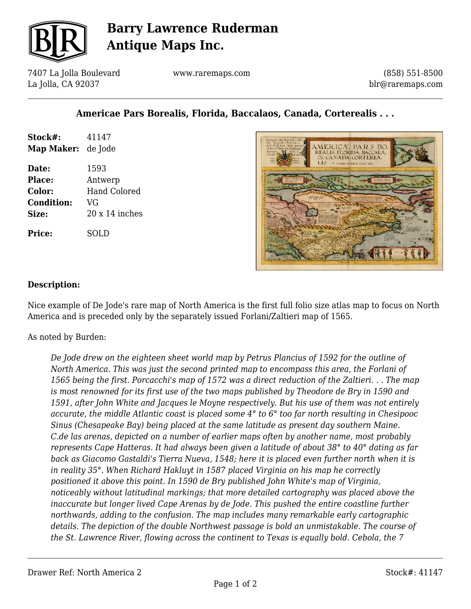

# **Barry Lawrence Ruderman Antique Maps Inc.**

7407 La Jolla Boulevard La Jolla, CA 92037

www.raremaps.com

(858) 551-8500 blr@raremaps.com

### **Americae Pars Borealis, Florida, Baccalaos, Canada, Corterealis . . .**

| Stock#:<br>Map Maker:             | 41147<br>de Jode               |
|-----------------------------------|--------------------------------|
| Date:<br><b>Place:</b>            | 1593                           |
| <b>Color:</b>                     | Antwerp<br><b>Hand Colored</b> |
| <b>Condition:</b><br><b>Size:</b> | VG<br>$20x14$ inches           |
| <b>Price:</b>                     | SOLD                           |



#### **Description:**

Nice example of De Jode's rare map of North America is the first full folio size atlas map to focus on North America and is preceded only by the separately issued Forlani/Zaltieri map of 1565.

As noted by Burden:

*De Jode drew on the eighteen sheet world map by Petrus Plancius of 1592 for the outline of North America. This was just the second printed map to encompass this area, the Forlani of 1565 being the first. Porcacchi's map of 1572 was a direct reduction of the Zaltieri. . . The map is most renowned for its first use of the two maps published by Theodore de Bry in 1590 and 1591, after John White and Jacques le Moyne respectively. But his use of them was not entirely accurate, the middle Atlantic coast is placed some 4° to 6° too far north resulting in Chesipooc Sinus (Chesapeake Bay) being placed at the same latitude as present day southern Maine. C.de las arenas, depicted on a number of earlier maps often by another name, most probably represents Cape Hatteras. It had always been given a latitude of about 38° to 40° dating as far back as Giacomo Gastaldi's Tierra Nueva, 1548; here it is placed even further north when it is in reality 35°. When Richard Hakluyt in 1587 placed Virginia on his map he correctly positioned it above this point. In 1590 de Bry published John White's map of Virginia, noticeably without latitudinal markings; that more detailed cartography was placed above the inaccurate but longer lived Cape Arenas by de Jode. This pushed the entire coastline further northwards, adding to the confusion. The map includes many remarkable early cartographic details. The depiction of the double Northwest passage is bold an unmistakable. The course of the St. Lawrence River, flowing across the continent to Texas is equally bold. Cebola, the 7*